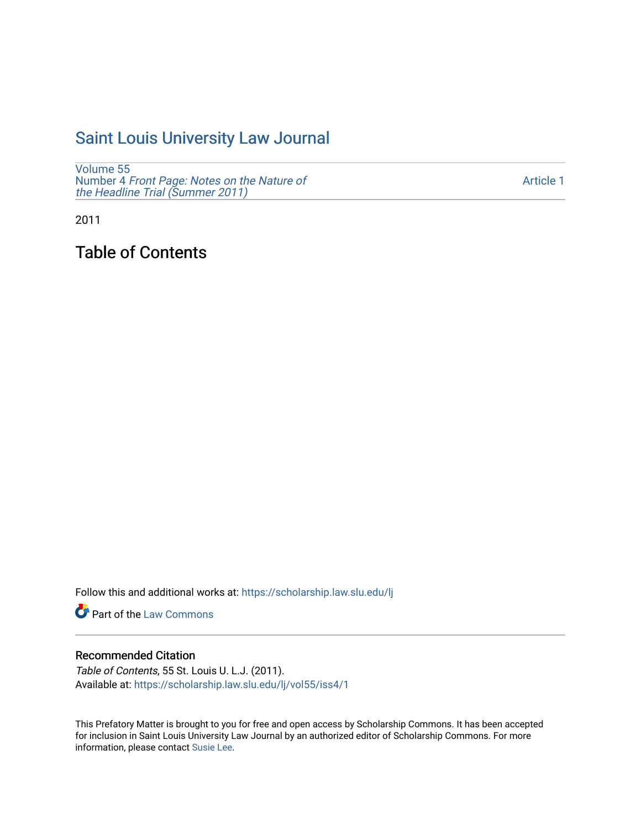# [Saint Louis University Law Journal](https://scholarship.law.slu.edu/lj)

[Volume 55](https://scholarship.law.slu.edu/lj/vol55) Number 4 [Front Page: Notes on the Nature of](https://scholarship.law.slu.edu/lj/vol55/iss4) [the Headline Trial \(Summer 2011\)](https://scholarship.law.slu.edu/lj/vol55/iss4)

[Article 1](https://scholarship.law.slu.edu/lj/vol55/iss4/1) 

2011

Table of Contents

Follow this and additional works at: [https://scholarship.law.slu.edu/lj](https://scholarship.law.slu.edu/lj?utm_source=scholarship.law.slu.edu%2Flj%2Fvol55%2Fiss4%2F1&utm_medium=PDF&utm_campaign=PDFCoverPages) 

Part of the [Law Commons](http://network.bepress.com/hgg/discipline/578?utm_source=scholarship.law.slu.edu%2Flj%2Fvol55%2Fiss4%2F1&utm_medium=PDF&utm_campaign=PDFCoverPages)

## Recommended Citation

Table of Contents, 55 St. Louis U. L.J. (2011). Available at: [https://scholarship.law.slu.edu/lj/vol55/iss4/1](https://scholarship.law.slu.edu/lj/vol55/iss4/1?utm_source=scholarship.law.slu.edu%2Flj%2Fvol55%2Fiss4%2F1&utm_medium=PDF&utm_campaign=PDFCoverPages) 

This Prefatory Matter is brought to you for free and open access by Scholarship Commons. It has been accepted for inclusion in Saint Louis University Law Journal by an authorized editor of Scholarship Commons. For more information, please contact [Susie Lee](mailto:susie.lee@slu.edu).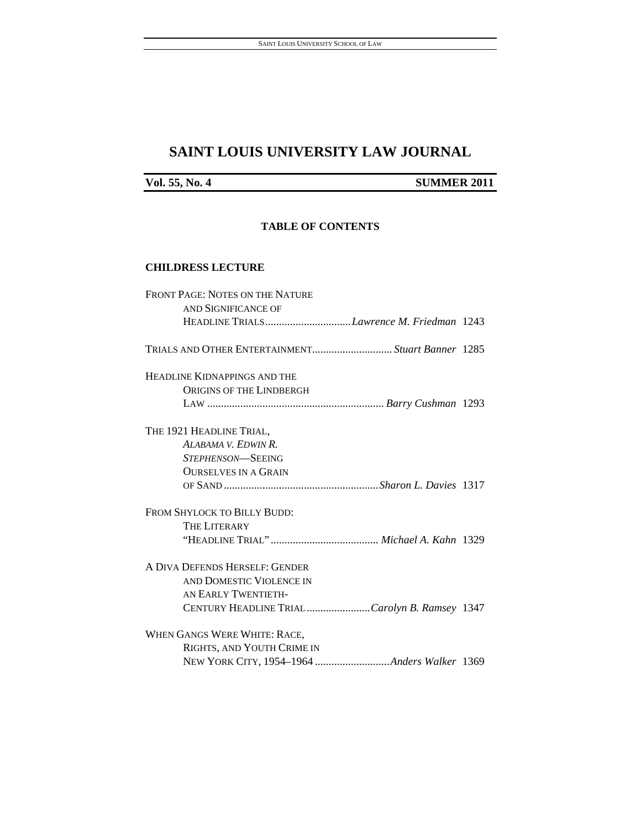# **SAINT LOUIS UNIVERSITY LAW JOURNAL**

# **Vol. 55, No. 4** SUMMER 2011

## **TABLE OF CONTENTS**

#### **CHILDRESS LECTURE**

| <b>FRONT PAGE: NOTES ON THE NATURE</b>        |  |
|-----------------------------------------------|--|
| AND SIGNIFICANCE OF                           |  |
| HEADLINE TRIALSLawrence M. Friedman 1243      |  |
|                                               |  |
| HEADLINE KIDNAPPINGS AND THE                  |  |
| <b>ORIGINS OF THE LINDBERGH</b>               |  |
|                                               |  |
| THE 1921 HEADLINE TRIAL,                      |  |
| ALABAMA V. EDWIN R.                           |  |
| <i>STEPHENSON</i> —SEEING                     |  |
| <b>OURSELVES IN A GRAIN</b>                   |  |
|                                               |  |
| FROM SHYLOCK TO BILLY BUDD:                   |  |
| <b>THE LITERARY</b>                           |  |
|                                               |  |
| A DIVA DEFENDS HERSELF: GENDER                |  |
| AND DOMESTIC VIOLENCE IN                      |  |
| AN EARLY TWENTIETH-                           |  |
| CENTURY HEADLINE TRIAL Carolyn B. Ramsey 1347 |  |
| WHEN GANGS WERE WHITE: RACE,                  |  |
| RIGHTS, AND YOUTH CRIME IN                    |  |
|                                               |  |